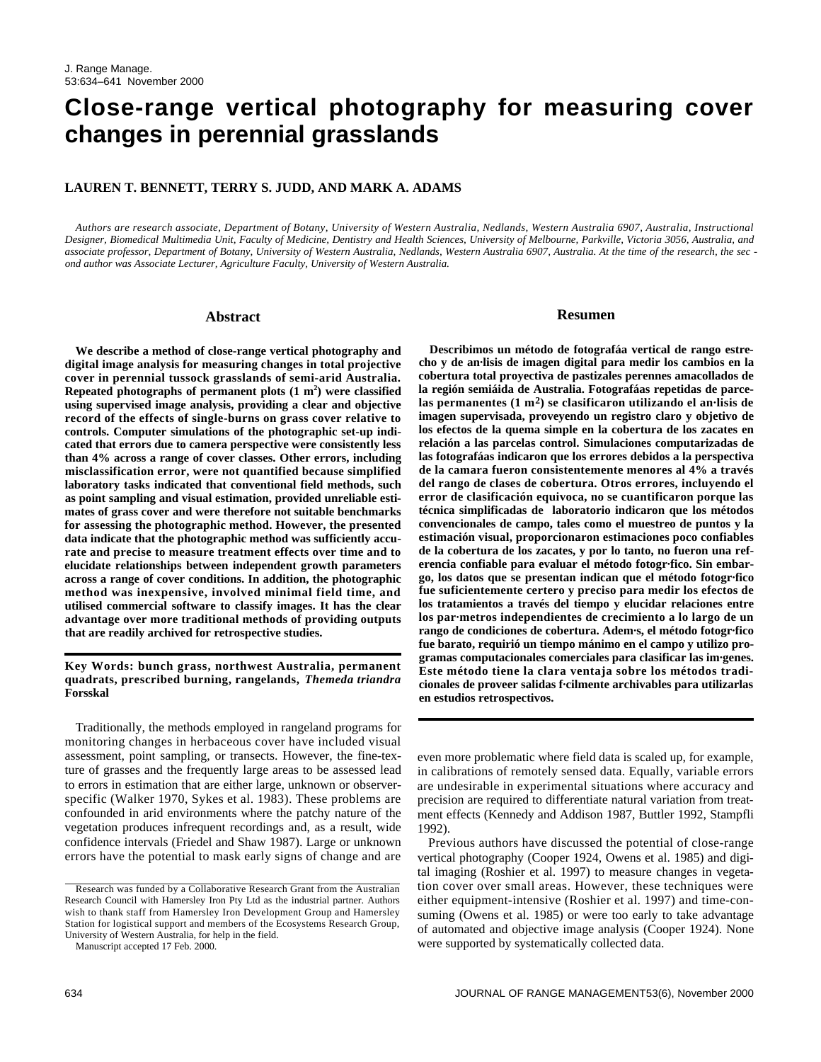# **Close-range vertical photography for measuring cover changes in perennial grasslands**

# **LAUREN T. BENNETT, TERRY S. JUDD, AND MARK A. ADAMS**

*Authors are research associate, Department of Botany, University of Western Australia, Nedlands, Western Australia 6907, Australia, Instructional Designer, Biomedical Multimedia Unit, Faculty of Medicine, Dentistry and Health Sciences, University of Melbourne, Parkville, Victoria 3056, Australia, and associate professor, Department of Botany, University of Western Australia, Nedlands, Western Australia 6907, Australia. At the time of the research, the sec ond author was Associate Lecturer, Agriculture Faculty, University of Western Australia.* 

# **Abstract**

**We describe a method of close-range vertical photography and digital image analysis for measuring changes in total projective cover in perennial tussock grasslands of semi-arid Australia. Repeated photographs of permanent plots (1 m<sup>2</sup> ) were classified using supervised image analysis, providing a clear and objective record of the effects of single-burns on grass cover relative to controls. Computer simulations of the photographic set-up indicated that errors due to camera perspective were consistently less than 4% across a range of cover classes. Other errors, including misclassification error, were not quantified because simplified laboratory tasks indicated that conventional field methods, such as point sampling and visual estimation, provided unreliable estimates of grass cover and were therefore not suitable benchmarks for assessing the photographic method. However, the presented data indicate that the photographic method was sufficiently accurate and precise to measure treatment effects over time and to elucidate relationships between independent growth parameters across a range of cover conditions. In addition, the photographic method was inexpensive, involved minimal field time, and utilised commercial software to classify images. It has the clear advantage over more traditional methods of providing outputs that are readily archived for retrospective studies.**

#### **Key Words: bunch grass, northwest Australia, permanent quadrats, prescribed burning, rangelands,** *Themeda triandra* **Forsskal**

Traditionally, the methods employed in rangeland programs for monitoring changes in herbaceous cover have included visual assessment, point sampling, or transects. However, the fine-texture of grasses and the frequently large areas to be assessed lead to errors in estimation that are either large, unknown or observerspecific (Walker 1970, Sykes et al. 1983). These problems are confounded in arid environments where the patchy nature of the vegetation produces infrequent recordings and, as a result, wide confidence intervals (Friedel and Shaw 1987). Large or unknown errors have the potential to mask early signs of change and are

Manuscript accepted 17 Feb. 2000.

#### **Resumen**

**Describimos un método de fotografáa vertical de rango estrecho y de an·lisis de imagen digital para medir los cambios en la cobertura total proyectiva de pastizales perennes amacollados de la región semiáida de Australia. Fotografáas repetidas de parcelas permanentes (1 m2) se clasificaron utilizando el an·lisis de imagen supervisada, proveyendo un registro claro y objetivo de los efectos de la quema simple en la cobertura de los zacates en relación a las parcelas control. Simulaciones computarizadas de las fotografáas indicaron que los errores debidos a la perspectiva de la camara fueron consistentemente menores al 4% a través del rango de clases de cobertura. Otros errores, incluyendo el error de clasificación equivoca, no se cuantificaron porque las técnica simplificadas de laboratorio indicaron que los métodos convencionales de campo, tales como el muestreo de puntos y la estimación visual, proporcionaron estimaciones poco confiables de la cobertura de los zacates, y por lo tanto, no fueron una referencia confiable para evaluar el método fotogr·fico. Sin embargo, los datos que se presentan indican que el método fotogr·fico fue suficientemente certero y preciso para medir los efectos de los tratamientos a través del tiempo y elucidar relaciones entre los par·metros independientes de crecimiento a lo largo de un rango de condiciones de cobertura. Adem·s, el método fotogr·fico fue barato, requirió un tiempo mánimo en el campo y utilizo programas computacionales comerciales para clasificar las im·genes. Este método tiene la clara ventaja sobre los métodos tradicionales de proveer salidas f·cilmente archivables para utilizarlas en estudios retrospectivos.**

even more problematic where field data is scaled up, for example, in calibrations of remotely sensed data. Equally, variable errors are undesirable in experimental situations where accuracy and precision are required to differentiate natural variation from treatment effects (Kennedy and Addison 1987, Buttler 1992, Stampfli 1992).

Previous authors have discussed the potential of close-range vertical photography (Cooper 1924, Owens et al. 1985) and digital imaging (Roshier et al. 1997) to measure changes in vegetation cover over small areas. However, these techniques were either equipment-intensive (Roshier et al. 1997) and time-consuming (Owens et al. 1985) or were too early to take advantage of automated and objective image analysis (Cooper 1924). None were supported by systematically collected data.

Research was funded by a Collaborative Research Grant from the Australian Research Council with Hamersley Iron Pty Ltd as the industrial partner. Authors wish to thank staff from Hamersley Iron Development Group and Hamersley Station for logistical support and members of the Ecosystems Research Group, University of Western Australia, for help in the field.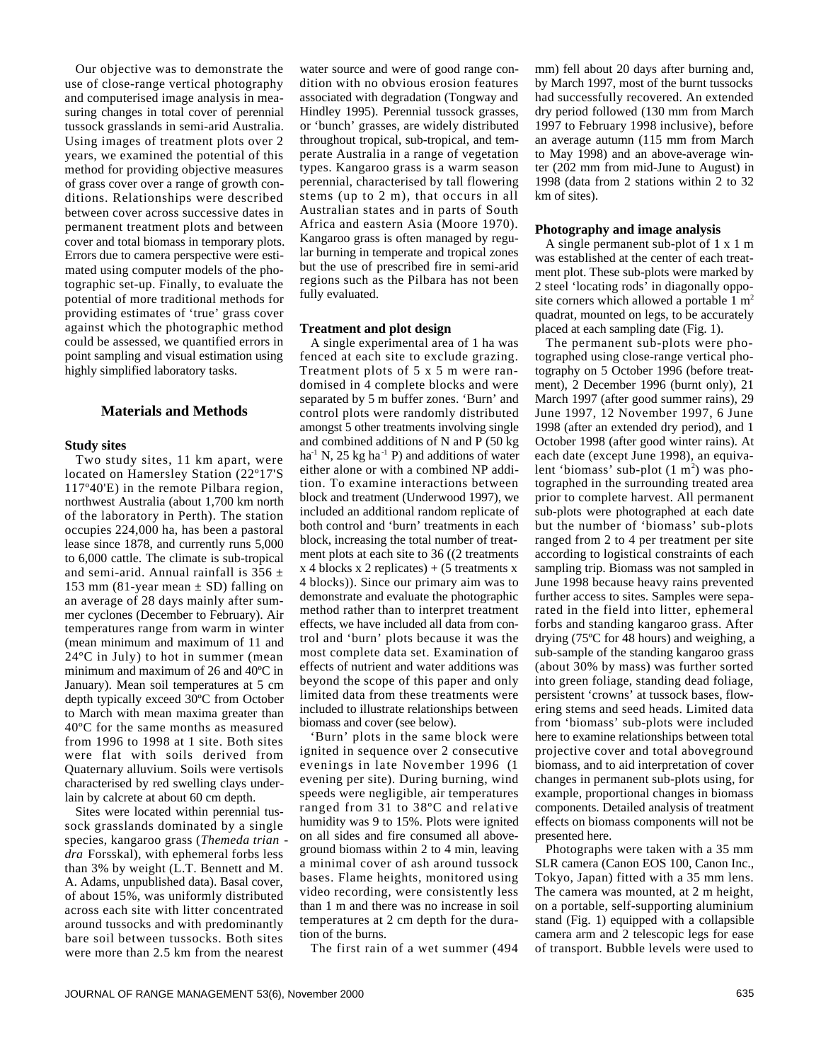Our objective was to demonstrate the use of close-range vertical photography and computerised image analysis in measuring changes in total cover of perennial tussock grasslands in semi-arid Australia. Using images of treatment plots over 2 years, we examined the potential of this method for providing objective measures of grass cover over a range of growth conditions. Relationships were described between cover across successive dates in permanent treatment plots and between cover and total biomass in temporary plots. Errors due to camera perspective were estimated using computer models of the photographic set-up. Finally, to evaluate the potential of more traditional methods for providing estimates of 'true' grass cover against which the photographic method could be assessed, we quantified errors in point sampling and visual estimation using highly simplified laboratory tasks.

#### **Materials and Methods**

#### **Study sites**

Two study sites, 11 km apart, were located on Hamersley Station (22º17'S 117º40'E) in the remote Pilbara region, northwest Australia (about 1,700 km north of the laboratory in Perth). The station occupies 224,000 ha, has been a pastoral lease since 1878, and currently runs 5,000 to 6,000 cattle. The climate is sub-tropical and semi-arid. Annual rainfall is  $356 \pm$ 153 mm (81-year mean  $\pm$  SD) falling on an average of 28 days mainly after summer cyclones (December to February). Air temperatures range from warm in winter (mean minimum and maximum of 11 and 24ºC in July) to hot in summer (mean minimum and maximum of 26 and 40ºC in January). Mean soil temperatures at 5 cm depth typically exceed 30ºC from October to March with mean maxima greater than 40ºC for the same months as measured from 1996 to 1998 at 1 site. Both sites were flat with soils derived from Quaternary alluvium. Soils were vertisols characterised by red swelling clays underlain by calcrete at about 60 cm depth.

Sites were located within perennial tussock grasslands dominated by a single species, kangaroo grass (*Themeda trian dra* Forsskal), with ephemeral forbs less than 3% by weight (L.T. Bennett and M. A. Adams, unpublished data). Basal cover, of about 15%, was uniformly distributed across each site with litter concentrated around tussocks and with predominantly bare soil between tussocks. Both sites were more than 2.5 km from the nearest

water source and were of good range condition with no obvious erosion features associated with degradation (Tongway and Hindley 1995). Perennial tussock grasses, or 'bunch' grasses, are widely distributed throughout tropical, sub-tropical, and temperate Australia in a range of vegetation types. Kangaroo grass is a warm season perennial, characterised by tall flowering stems (up to 2 m), that occurs in all Australian states and in parts of South Africa and eastern Asia (Moore 1970). Kangaroo grass is often managed by regular burning in temperate and tropical zones but the use of prescribed fire in semi-arid regions such as the Pilbara has not been fully evaluated.

#### **Treatment and plot design**

A single experimental area of 1 ha was fenced at each site to exclude grazing. Treatment plots of 5 x 5 m were randomised in 4 complete blocks and were separated by 5 m buffer zones. 'Burn' and control plots were randomly distributed amongst 5 other treatments involving single and combined additions of N and P (50 kg ha<sup>-1</sup> N, 25 kg ha<sup>-1</sup> P) and additions of water either alone or with a combined NP addition. To examine interactions between block and treatment (Underwood 1997), we included an additional random replicate of both control and 'burn' treatments in each block, increasing the total number of treatment plots at each site to 36 ((2 treatments  $x$  4 blocks  $x$  2 replicates) + (5 treatments  $x$ 4 blocks)). Since our primary aim was to demonstrate and evaluate the photographic method rather than to interpret treatment effects, we have included all data from control and 'burn' plots because it was the most complete data set. Examination of effects of nutrient and water additions was beyond the scope of this paper and only limited data from these treatments were included to illustrate relationships between biomass and cover (see below).

'Burn' plots in the same block were ignited in sequence over 2 consecutive evenings in late November 1996 (1 evening per site). During burning, wind speeds were negligible, air temperatures ranged from 31 to 38ºC and relative humidity was 9 to 15%. Plots were ignited on all sides and fire consumed all aboveground biomass within 2 to 4 min, leaving a minimal cover of ash around tussock bases. Flame heights, monitored using video recording, were consistently less than 1 m and there was no increase in soil temperatures at 2 cm depth for the duration of the burns.

The first rain of a wet summer (494

mm) fell about 20 days after burning and, by March 1997, most of the burnt tussocks had successfully recovered. An extended dry period followed (130 mm from March 1997 to February 1998 inclusive), before an average autumn (115 mm from March to May 1998) and an above-average winter (202 mm from mid-June to August) in 1998 (data from 2 stations within 2 to 32 km of sites).

#### **Photography and image analysis**

A single permanent sub-plot of 1 x 1 m was established at the center of each treatment plot. These sub-plots were marked by 2 steel 'locating rods' in diagonally opposite corners which allowed a portable  $1 \text{ m}^2$ quadrat, mounted on legs, to be accurately placed at each sampling date (Fig. 1).

The permanent sub-plots were photographed using close-range vertical photography on 5 October 1996 (before treatment), 2 December 1996 (burnt only), 21 March 1997 (after good summer rains), 29 June 1997, 12 November 1997, 6 June 1998 (after an extended dry period), and 1 October 1998 (after good winter rains). At each date (except June 1998), an equivalent 'biomass' sub-plot  $(1 \text{ m}^2)$  was photographed in the surrounding treated area prior to complete harvest. All permanent sub-plots were photographed at each date but the number of 'biomass' sub-plots ranged from 2 to 4 per treatment per site according to logistical constraints of each sampling trip. Biomass was not sampled in June 1998 because heavy rains prevented further access to sites. Samples were separated in the field into litter, ephemeral forbs and standing kangaroo grass. After drying (75ºC for 48 hours) and weighing, a sub-sample of the standing kangaroo grass (about 30% by mass) was further sorted into green foliage, standing dead foliage, persistent 'crowns' at tussock bases, flowering stems and seed heads. Limited data from 'biomass' sub-plots were included here to examine relationships between total projective cover and total aboveground biomass, and to aid interpretation of cover changes in permanent sub-plots using, for example, proportional changes in biomass components. Detailed analysis of treatment effects on biomass components will not be presented here.

Photographs were taken with a 35 mm SLR camera (Canon EOS 100, Canon Inc., Tokyo, Japan) fitted with a 35 mm lens. The camera was mounted, at 2 m height, on a portable, self-supporting aluminium stand (Fig. 1) equipped with a collapsible camera arm and 2 telescopic legs for ease of transport. Bubble levels were used to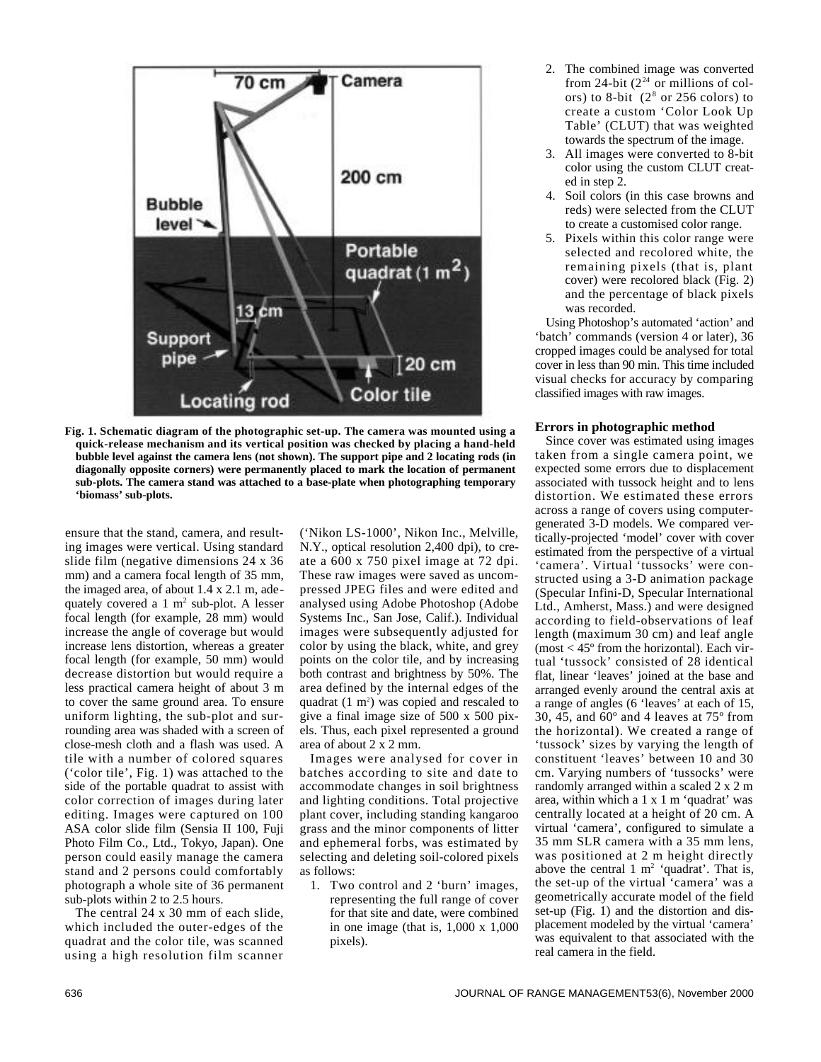

**Fig. 1. Schematic diagram of the photographic set-up. The camera was mounted using a quick-release mechanism and its vertical position was checked by placing a hand-held bubble level against the camera lens (not shown). The support pipe and 2 locating rods (in diagonally opposite corners) were permanently placed to mark the location of permanent sub-plots. The camera stand was attached to a base-plate when photographing temporary 'biomass' sub-plots.**

ensure that the stand, camera, and resulting images were vertical. Using standard slide film (negative dimensions 24 x 36 mm) and a camera focal length of 35 mm, the imaged area, of about  $1.\overline{4}$  x 2.1 m, adequately covered a 1  $m^2$  sub-plot. A lesser focal length (for example, 28 mm) would increase the angle of coverage but would increase lens distortion, whereas a greater focal length (for example, 50 mm) would decrease distortion but would require a less practical camera height of about 3 m to cover the same ground area. To ensure uniform lighting, the sub-plot and surrounding area was shaded with a screen of close-mesh cloth and a flash was used. A tile with a number of colored squares ('color tile', Fig. 1) was attached to the side of the portable quadrat to assist with color correction of images during later editing. Images were captured on 100 ASA color slide film (Sensia II 100, Fuji Photo Film Co., Ltd., Tokyo, Japan). One person could easily manage the camera stand and 2 persons could comfortably photograph a whole site of 36 permanent sub-plots within 2 to 2.5 hours.

The central 24 x 30 mm of each slide, which included the outer-edges of the quadrat and the color tile, was scanned using a high resolution film scanner ('Nikon LS-1000', Nikon Inc., Melville, N.Y., optical resolution 2,400 dpi), to create a 600 x 750 pixel image at 72 dpi. These raw images were saved as uncompressed JPEG files and were edited and analysed using Adobe Photoshop (Adobe Systems Inc., San Jose, Calif.). Individual images were subsequently adjusted for color by using the black, white, and grey points on the color tile, and by increasing both contrast and brightness by 50%. The area defined by the internal edges of the quadrat  $(1 \text{ m}^2)$  was copied and rescaled to give a final image size of 500 x 500 pixels. Thus, each pixel represented a ground area of about 2 x 2 mm.

Images were analysed for cover in batches according to site and date to accommodate changes in soil brightness and lighting conditions. Total projective plant cover, including standing kangaroo grass and the minor components of litter and ephemeral forbs, was estimated by selecting and deleting soil-colored pixels as follows:

1. Two control and 2 'burn' images, representing the full range of cover for that site and date, were combined in one image (that is,  $1,000 \times 1,000$ pixels).

- 2. The combined image was converted from 24-bit ( $2^{24}$  or millions of colors) to 8-bit  $(2^8 \text{ or } 256 \text{ colors})$  to create a custom 'Color Look Up Table' (CLUT) that was weighted towards the spectrum of the image.
- 3. All images were converted to 8-bit color using the custom CLUT created in step 2.
- 4. Soil colors (in this case browns and reds) were selected from the CLUT to create a customised color range.
- 5. Pixels within this color range were selected and recolored white, the remaining pixels (that is, plant cover) were recolored black (Fig. 2) and the percentage of black pixels was recorded.

Using Photoshop's automated 'action' and 'batch' commands (version 4 or later), 36 cropped images could be analysed for total cover in less than 90 min. This time included visual checks for accuracy by comparing classified images with raw images.

## **Errors in photographic method**

Since cover was estimated using images taken from a single camera point, we expected some errors due to displacement associated with tussock height and to lens distortion. We estimated these errors across a range of covers using computergenerated 3-D models. We compared vertically-projected 'model' cover with cover estimated from the perspective of a virtual 'camera'. Virtual 'tussocks' were constructed using a 3-D animation package (Specular Infini-D, Specular International Ltd., Amherst, Mass.) and were designed according to field-observations of leaf length (maximum 30 cm) and leaf angle  $(most < 45^{\circ}$  from the horizontal). Each virtual 'tussock' consisted of 28 identical flat, linear 'leaves' joined at the base and arranged evenly around the central axis at a range of angles (6 'leaves' at each of 15, 30, 45, and 60º and 4 leaves at 75º from the horizontal). We created a range of 'tussock' sizes by varying the length of constituent 'leaves' between 10 and 30 cm. Varying numbers of 'tussocks' were randomly arranged within a scaled 2 x 2 m area, within which a 1 x 1 m 'quadrat' was centrally located at a height of 20 cm. A virtual 'camera', configured to simulate a 35 mm SLR camera with a 35 mm lens, was positioned at 2 m height directly above the central  $1 \text{ m}^2$  'quadrat'. That is, the set-up of the virtual 'camera' was a geometrically accurate model of the field set-up (Fig. 1) and the distortion and displacement modeled by the virtual 'camera' was equivalent to that associated with the real camera in the field.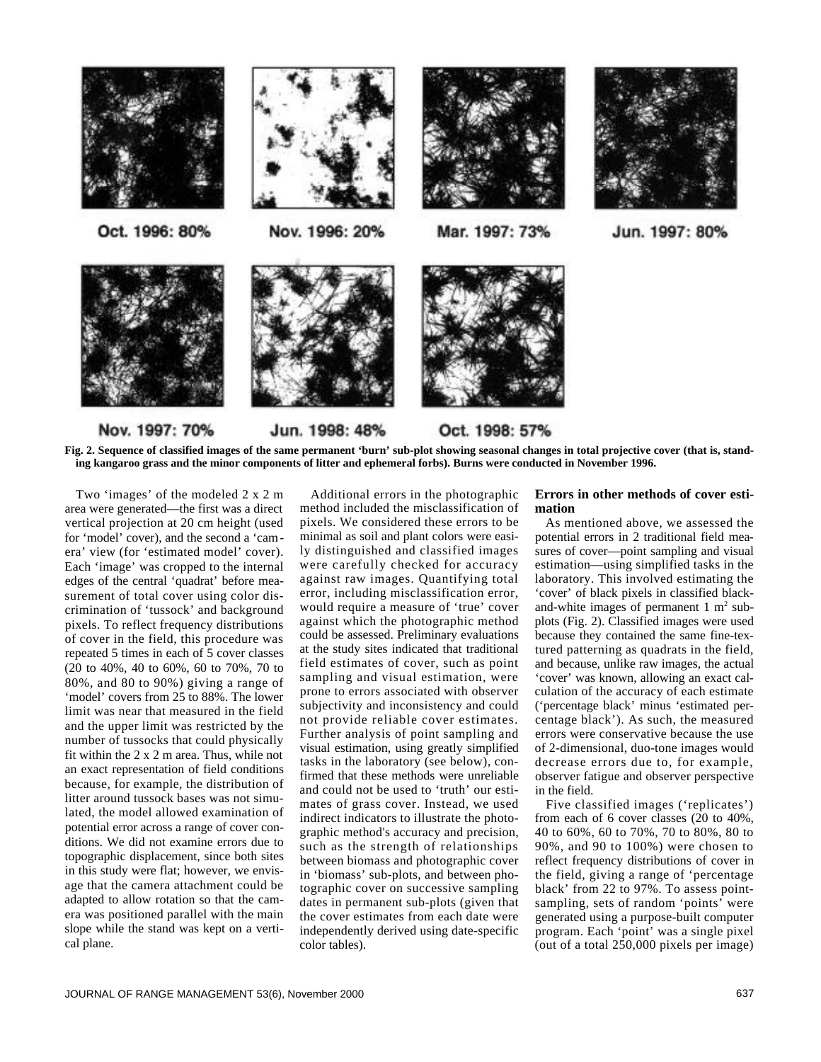

Two 'images' of the modeled 2 x 2 m area were generated—the first was a direct vertical projection at 20 cm height (used for 'model' cover), and the second a 'camera' view (for 'estimated model' cover). Each 'image' was cropped to the internal edges of the central 'quadrat' before measurement of total cover using color discrimination of 'tussock' and background pixels. To reflect frequency distributions of cover in the field, this procedure was repeated 5 times in each of 5 cover classes (20 to 40%, 40 to 60%, 60 to 70%, 70 to 80%, and 80 to 90%) giving a range of 'model' covers from 25 to 88%. The lower limit was near that measured in the field and the upper limit was restricted by the number of tussocks that could physically fit within the 2 x 2 m area. Thus, while not an exact representation of field conditions because, for example, the distribution of litter around tussock bases was not simulated, the model allowed examination of potential error across a range of cover conditions. We did not examine errors due to topographic displacement, since both sites in this study were flat; however, we envisage that the camera attachment could be adapted to allow rotation so that the camera was positioned parallel with the main slope while the stand was kept on a vertical plane.

Additional errors in the photographic method included the misclassification of pixels. We considered these errors to be minimal as soil and plant colors were easily distinguished and classified images were carefully checked for accuracy against raw images. Quantifying total error, including misclassification error, would require a measure of 'true' cover against which the photographic method could be assessed. Preliminary evaluations at the study sites indicated that traditional field estimates of cover, such as point sampling and visual estimation, were prone to errors associated with observer subjectivity and inconsistency and could not provide reliable cover estimates. Further analysis of point sampling and visual estimation, using greatly simplified tasks in the laboratory (see below), confirmed that these methods were unreliable and could not be used to 'truth' our estimates of grass cover. Instead, we used indirect indicators to illustrate the photographic method's accuracy and precision, such as the strength of relationships between biomass and photographic cover in 'biomass' sub-plots, and between photographic cover on successive sampling dates in permanent sub-plots (given that the cover estimates from each date were independently derived using date-specific color tables).

#### **Errors in other methods of cover estimation**

As mentioned above, we assessed the potential errors in 2 traditional field measures of cover—point sampling and visual estimation—using simplified tasks in the laboratory. This involved estimating the 'cover' of black pixels in classified blackand-white images of permanent  $1 \text{ m}^2$  subplots (Fig. 2). Classified images were used because they contained the same fine-textured patterning as quadrats in the field, and because, unlike raw images, the actual 'cover' was known, allowing an exact calculation of the accuracy of each estimate ('percentage black' minus 'estimated percentage black'). As such, the measured errors were conservative because the use of 2-dimensional, duo-tone images would decrease errors due to, for example, observer fatigue and observer perspective in the field.

Five classified images ('replicates') from each of 6 cover classes (20 to 40%, 40 to 60%, 60 to 70%, 70 to 80%, 80 to 90%, and 90 to 100%) were chosen to reflect frequency distributions of cover in the field, giving a range of 'percentage black' from 22 to 97%. To assess pointsampling, sets of random 'points' were generated using a purpose-built computer program. Each 'point' was a single pixel (out of a total 250,000 pixels per image)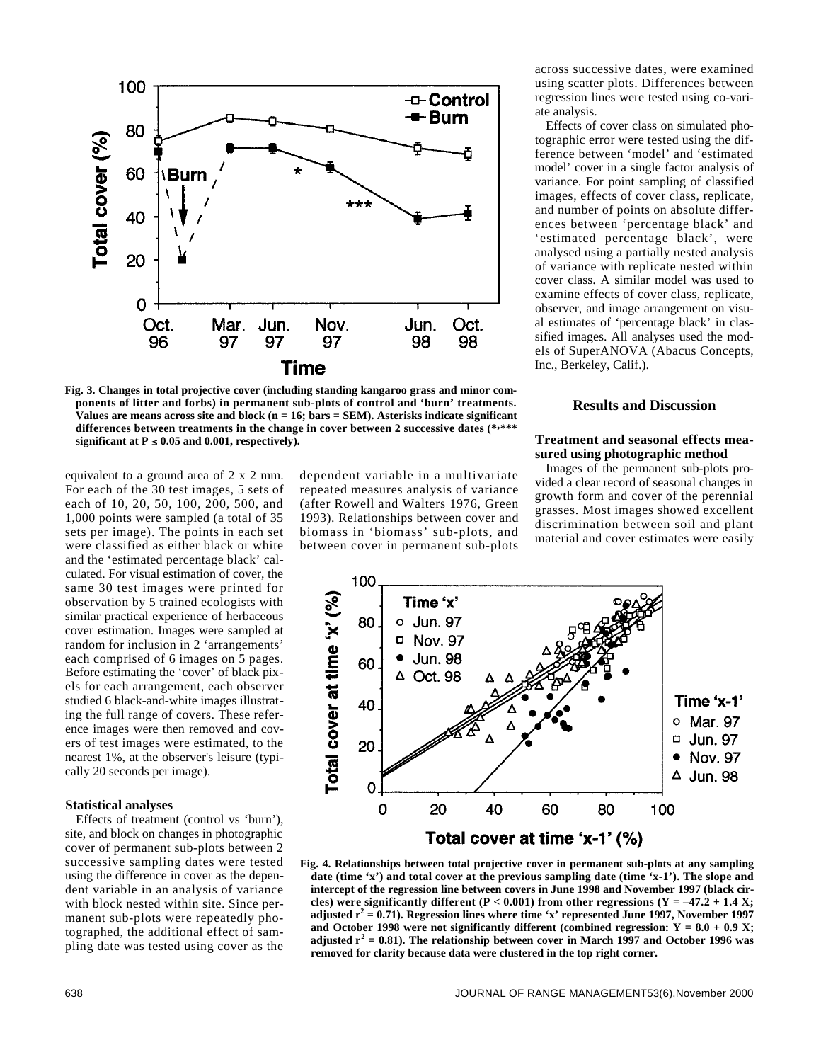

**Fig. 3. Changes in total projective cover (including standing kangaroo grass and minor components of litter and forbs) in permanent sub-plots of control and 'burn' treatments. Values are means across site and block (n = 16; bars = SEM). Asterisks indicate significant** differences between treatments in the change in cover between 2 successive dates (\*<sup>\*\*\*\*</sup> significant at  $P \le 0.05$  and 0.001, respectively).

equivalent to a ground area of 2 x 2 mm. For each of the 30 test images, 5 sets of each of 10, 20, 50, 100, 200, 500, and 1,000 points were sampled (a total of 35 sets per image). The points in each set were classified as either black or white and the 'estimated percentage black' calculated. For visual estimation of cover, the same 30 test images were printed for observation by 5 trained ecologists with similar practical experience of herbaceous cover estimation. Images were sampled at random for inclusion in 2 'arrangements' each comprised of 6 images on 5 pages. Before estimating the 'cover' of black pixels for each arrangement, each observer studied 6 black-and-white images illustrating the full range of covers. These reference images were then removed and covers of test images were estimated, to the nearest 1%, at the observer's leisure (typically 20 seconds per image).

## **Statistical analyses**

Effects of treatment (control vs 'burn'), site, and block on changes in photographic cover of permanent sub-plots between 2 successive sampling dates were tested using the difference in cover as the dependent variable in an analysis of variance with block nested within site. Since permanent sub-plots were repeatedly photographed, the additional effect of sampling date was tested using cover as the dependent variable in a multivariate repeated measures analysis of variance (after Rowell and Walters 1976, Green 1993). Relationships between cover and biomass in 'biomass' sub-plots, and between cover in permanent sub-plots

across successive dates, were examined using scatter plots. Differences between regression lines were tested using co-variate analysis.

Effects of cover class on simulated photographic error were tested using the difference between 'model' and 'estimated model' cover in a single factor analysis of variance. For point sampling of classified images, effects of cover class, replicate, and number of points on absolute differences between 'percentage black' and 'estimated percentage black', were analysed using a partially nested analysis of variance with replicate nested within cover class. A similar model was used to examine effects of cover class, replicate, observer, and image arrangement on visual estimates of 'percentage black' in classified images. All analyses used the models of SuperANOVA (Abacus Concepts, Inc., Berkeley, Calif.).

# **Results and Discussion**

## **Treatment and seasonal effects measured using photographic method**

Images of the permanent sub-plots provided a clear record of seasonal changes in growth form and cover of the perennial grasses. Most images showed excellent discrimination between soil and plant material and cover estimates were easily



**Fig. 4. Relationships between total projective cover in permanent sub-plots at any sampling date (time 'x') and total cover at the previous sampling date (time 'x-1'). The slope and intercept of the regression line between covers in June 1998 and November 1997 (black cir**cles) were significantly different  $(P < 0.001)$  from other regressions  $(Y = -47.2 + 1.4 X;$ **adjusted r<sup>2</sup> = 0.71). Regression lines where time 'x' represented June 1997, November 1997** and October 1998 were not significantly different (combined regression:  $Y = 8.0 + 0.9 X$ ; **adjusted r<sup>2</sup> = 0.81). The relationship between cover in March 1997 and October 1996 was removed for clarity because data were clustered in the top right corner.**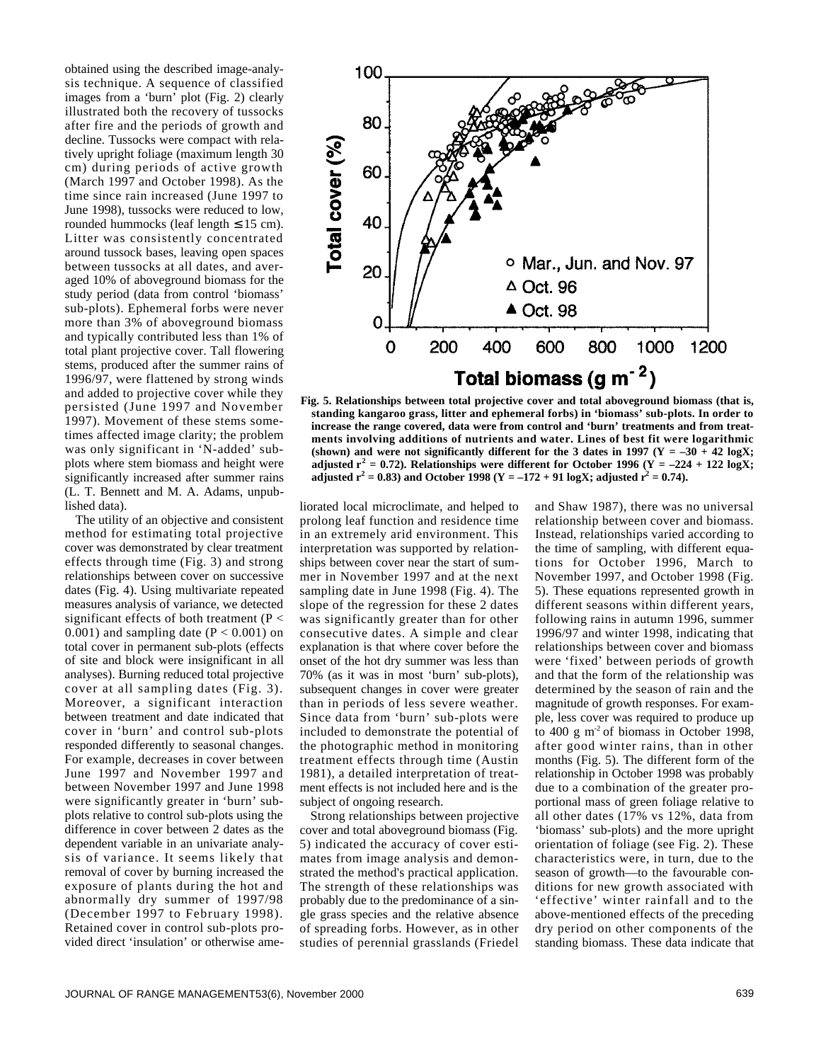obtained using the described image-analysis technique. A sequence of classified images from a 'burn' plot (Fig. 2) clearly illustrated both the recovery of tussocks after fire and the periods of growth and decline. Tussocks were compact with relatively upright foliage (maximum length 30 cm) during periods of active growth (March 1997 and October 1998). As the time since rain increased (June 1997 to June 1998), tussocks were reduced to low, rounded hummocks (leaf length 15 cm). Litter was consistently concentrated around tussock bases, leaving open spaces between tussocks at all dates, and averaged 10% of aboveground biomass for the study period (data from control 'biomass' sub-plots). Ephemeral forbs were never more than 3% of aboveground biomass and typically contributed less than 1% of total plant projective cover. Tall flowering stems, produced after the summer rains of 1996/97, were flattened by strong winds and added to projective cover while they persisted (June 1997 and November 1997). Movement of these stems sometimes affected image clarity; the problem was only significant in 'N-added' subplots where stem biomass and height were significantly increased after summer rains (L. T. Bennett and M. A. Adams, unpublished data).

The utility of an objective and consistent method for estimating total projective cover was demonstrated by clear treatment effects through time (Fig. 3) and strong relationships between cover on successive dates (Fig. 4). Using multivariate repeated measures analysis of variance, we detected significant effects of both treatment ( $P <$ 0.001) and sampling date ( $P < 0.001$ ) on total cover in permanent sub-plots (effects of site and block were insignificant in all analyses). Burning reduced total projective cover at all sampling dates (Fig. 3). Moreover, a significant interaction between treatment and date indicated that cover in 'burn' and control sub-plots responded differently to seasonal changes. For example, decreases in cover between June 1997 and November 1997 and between November 1997 and June 1998 were significantly greater in 'burn' subplots relative to control sub-plots using the difference in cover between 2 dates as the dependent variable in an univariate analysis of variance. It seems likely that removal of cover by burning increased the exposure of plants during the hot and abnormally dry summer of 1997/98 (December 1997 to February 1998). Retained cover in control sub-plots provided direct 'insulation' or otherwise ame-



**Fig. 5. Relationships between total projective cover and total aboveground biomass (that is, standing kangaroo grass, litter and ephemeral forbs) in 'biomass' sub-plots. In order to increase the range covered, data were from control and 'burn' treatments and from treatments involving additions of nutrients and water. Lines of best fit were logarithmic** (shown) and were not significantly different for the 3 dates in 1997 ( $Y = -30 + 42 \log X$ ; adjusted  $r^2 = 0.72$ ). Relationships were different for October 1996 (Y =  $-224 + 122 \log X$ ; **adjusted**  $r^2 = 0.83$ **) and October 1998** (Y = –172 + 91 logX; adjusted  $r^2 = 0.74$ ).

liorated local microclimate, and helped to prolong leaf function and residence time in an extremely arid environment. This interpretation was supported by relationships between cover near the start of summer in November 1997 and at the next sampling date in June 1998 (Fig. 4). The slope of the regression for these 2 dates was significantly greater than for other consecutive dates. A simple and clear explanation is that where cover before the onset of the hot dry summer was less than 70% (as it was in most 'burn' sub-plots), subsequent changes in cover were greater than in periods of less severe weather. Since data from 'burn' sub-plots were included to demonstrate the potential of the photographic method in monitoring treatment effects through time (Austin 1981), a detailed interpretation of treatment effects is not included here and is the subject of ongoing research.

Strong relationships between projective cover and total aboveground biomass (Fig. 5) indicated the accuracy of cover estimates from image analysis and demonstrated the method's practical application. The strength of these relationships was probably due to the predominance of a single grass species and the relative absence of spreading forbs. However, as in other studies of perennial grasslands (Friedel and Shaw 1987), there was no universal relationship between cover and biomass. Instead, relationships varied according to the time of sampling, with different equations for October 1996, March to November 1997, and October 1998 (Fig. 5). These equations represented growth in different seasons within different years, following rains in autumn 1996, summer 1996/97 and winter 1998, indicating that relationships between cover and biomass were 'fixed' between periods of growth and that the form of the relationship was determined by the season of rain and the magnitude of growth responses. For example, less cover was required to produce up to 400 g  $m^2$  of biomass in October 1998, after good winter rains, than in other months (Fig. 5). The different form of the relationship in October 1998 was probably due to a combination of the greater proportional mass of green foliage relative to all other dates (17% vs 12%, data from 'biomass' sub-plots) and the more upright orientation of foliage (see Fig. 2). These characteristics were, in turn, due to the season of growth—to the favourable conditions for new growth associated with 'effective' winter rainfall and to the above-mentioned effects of the preceding dry period on other components of the standing biomass. These data indicate that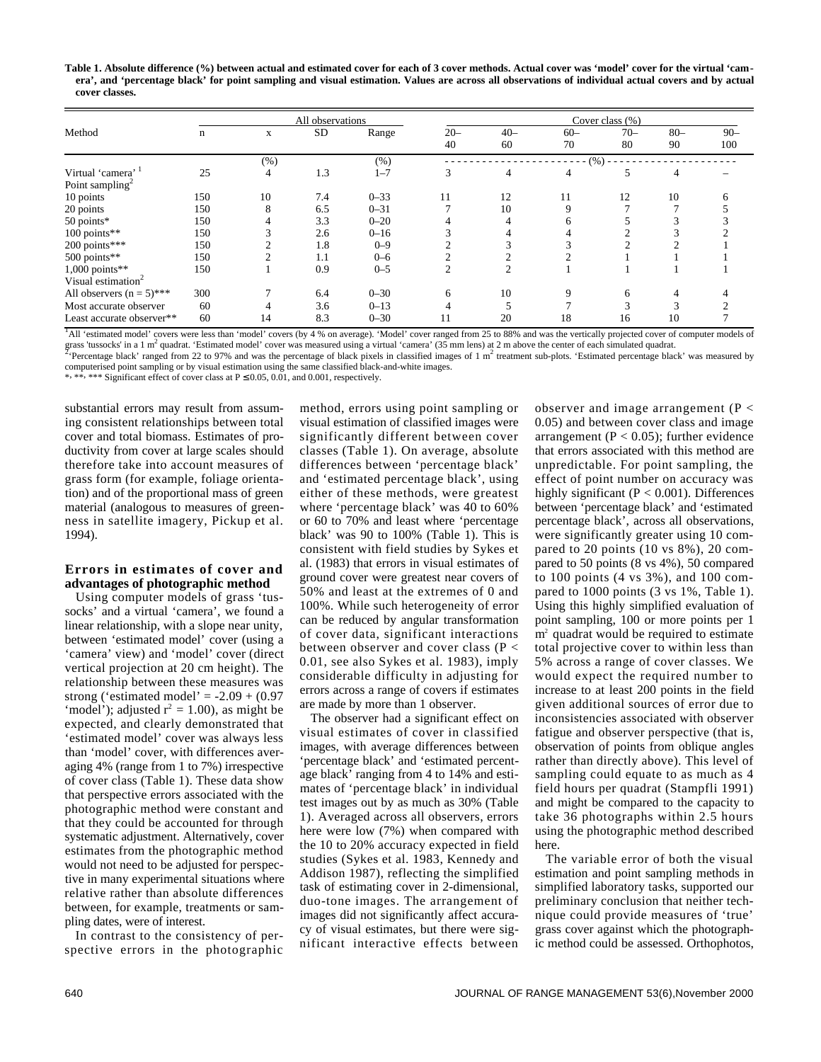**Table 1. Absolute difference (%) between actual and estimated cover for each of 3 cover methods. Actual cover was 'model' cover for the virtual 'camera', and 'percentage black' for point sampling and visual estimation. Values are across all observations of individual actual covers and by actual cover classes.**

|                                | All observations |      |           |          |                | Cover class $(\% )$ |              |              |              |               |  |
|--------------------------------|------------------|------|-----------|----------|----------------|---------------------|--------------|--------------|--------------|---------------|--|
| Method                         | n                | X    | <b>SD</b> | Range    | $20 -$<br>40   | $40-$<br>60         | $60 -$<br>70 | $70-$<br>80  | $80 -$<br>90 | $90 -$<br>100 |  |
|                                |                  | (% ) |           | (% )     |                | (% )                |              |              |              |               |  |
| Virtual 'camera'               | 25               | 4    | 1.3       | $1 - 7$  | 3              | 4                   | 4            |              | 4            |               |  |
| Point sampling <sup>2</sup>    |                  |      |           |          |                |                     |              |              |              |               |  |
| 10 points                      | 150              | 10   | 7.4       | $0 - 33$ | 11             | 12                  | 11           | 12           | 10           |               |  |
| 20 points                      | 150              | 8    | 6.5       | $0 - 31$ |                | 10                  | 9            |              |              |               |  |
| 50 points*                     | 150              |      | 3.3       | $0 - 20$ |                | $\overline{4}$      |              |              |              |               |  |
| 100 points**                   | 150              |      | 2.6       | $0 - 16$ |                |                     |              |              |              |               |  |
| 200 points***                  | 150              |      | 1.8       | $0 - 9$  |                |                     |              |              |              |               |  |
| 500 points**                   | 150              |      | 1.1       | $0 - 6$  |                |                     |              |              |              |               |  |
| $1,000$ points**               | 150              |      | 0.9       | $0 - 5$  | $\overline{c}$ | $\overline{c}$      |              |              |              |               |  |
| Visual estimation <sup>2</sup> |                  |      |           |          |                |                     |              |              |              |               |  |
| All observers $(n = 5)$ ***    | 300              |      | 6.4       | $0 - 30$ | 6              | 10                  |              | <sub>6</sub> |              |               |  |
| Most accurate observer         | 60               |      | 3.6       | $0 - 13$ |                |                     |              |              |              |               |  |
| Least accurate observer**      | 60               | 14   | 8.3       | $0 - 30$ | 11             | 20                  | 18           | 16           | 10           |               |  |

<sup>1</sup>All 'estimated model' covers were less than 'model' covers (by 4 % on average). 'Model' cover ranged from 25 to 88% and was the vertically projected cover of computer models of grass 'tussocks' in a 1 m<sup>2</sup> quadrat. 'Estimated model' cover was measured using a virtual 'camera' (35 mm lens) at 2 m above the center of each simulated quadrat.<br><sup>2</sup> Descentes a healt' grass of from 22 to 07% and west t

'Percentage black' ranged from 22 to 97% and was the percentage of black pixels in classified images of 1 m<sup>2</sup> treatment sub-plots. 'Estimated percentage black' was measured by computerised point sampling or by visual estimation using the same classified black-and-white images.

\*, \*\*, \*\*\* Significant effect of cover class at P 0.05, 0.01, and 0.001, respectively.

substantial errors may result from assuming consistent relationships between total cover and total biomass. Estimates of productivity from cover at large scales should therefore take into account measures of grass form (for example, foliage orientation) and of the proportional mass of green material (analogous to measures of greenness in satellite imagery, Pickup et al. 1994).

#### **Errors in estimates of cover and advantages of photographic method**

Using computer models of grass 'tussocks' and a virtual 'camera', we found a linear relationship, with a slope near unity, between 'estimated model' cover (using a 'camera' view) and 'model' cover (direct vertical projection at 20 cm height). The relationship between these measures was strong ('estimated model' =  $-2.09 + (0.97)$ 'model'); adjusted  $r^2 = 1.00$ ), as might be expected, and clearly demonstrated that 'estimated model' cover was always less than 'model' cover, with differences averaging 4% (range from 1 to 7%) irrespective of cover class (Table 1). These data show that perspective errors associated with the photographic method were constant and that they could be accounted for through systematic adjustment. Alternatively, cover estimates from the photographic method would not need to be adjusted for perspective in many experimental situations where relative rather than absolute differences between, for example, treatments or sampling dates, were of interest.

In contrast to the consistency of perspective errors in the photographic method, errors using point sampling or visual estimation of classified images were significantly different between cover classes (Table 1). On average, absolute differences between 'percentage black' and 'estimated percentage black', using either of these methods, were greatest where 'percentage black' was 40 to 60% or 60 to 70% and least where 'percentage black' was 90 to 100% (Table 1). This is consistent with field studies by Sykes et al. (1983) that errors in visual estimates of ground cover were greatest near covers of 50% and least at the extremes of 0 and 100%. While such heterogeneity of error can be reduced by angular transformation of cover data, significant interactions between observer and cover class (P < 0.01, see also Sykes et al. 1983), imply considerable difficulty in adjusting for errors across a range of covers if estimates are made by more than 1 observer.

The observer had a significant effect on visual estimates of cover in classified images, with average differences between 'percentage black' and 'estimated percentage black' ranging from 4 to 14% and estimates of 'percentage black' in individual test images out by as much as 30% (Table 1). Averaged across all observers, errors here were low (7%) when compared with the 10 to 20% accuracy expected in field studies (Sykes et al. 1983, Kennedy and Addison 1987), reflecting the simplified task of estimating cover in 2-dimensional, duo-tone images. The arrangement of images did not significantly affect accuracy of visual estimates, but there were significant interactive effects between

observer and image arrangement (P < 0.05) and between cover class and image arrangement ( $P < 0.05$ ); further evidence that errors associated with this method are unpredictable. For point sampling, the effect of point number on accuracy was highly significant ( $P < 0.001$ ). Differences between 'percentage black' and 'estimated percentage black', across all observations, were significantly greater using 10 compared to 20 points (10 vs 8%), 20 compared to 50 points (8 vs 4%), 50 compared to 100 points (4 vs 3%), and 100 compared to 1000 points (3 vs 1%, Table 1). Using this highly simplified evaluation of point sampling, 100 or more points per 1  $m<sup>2</sup>$  quadrat would be required to estimate total projective cover to within less than 5% across a range of cover classes. We would expect the required number to increase to at least 200 points in the field given additional sources of error due to inconsistencies associated with observer fatigue and observer perspective (that is, observation of points from oblique angles rather than directly above). This level of sampling could equate to as much as 4 field hours per quadrat (Stampfli 1991) and might be compared to the capacity to take 36 photographs within 2.5 hours using the photographic method described here.

The variable error of both the visual estimation and point sampling methods in simplified laboratory tasks, supported our preliminary conclusion that neither technique could provide measures of 'true' grass cover against which the photographic method could be assessed. Orthophotos,